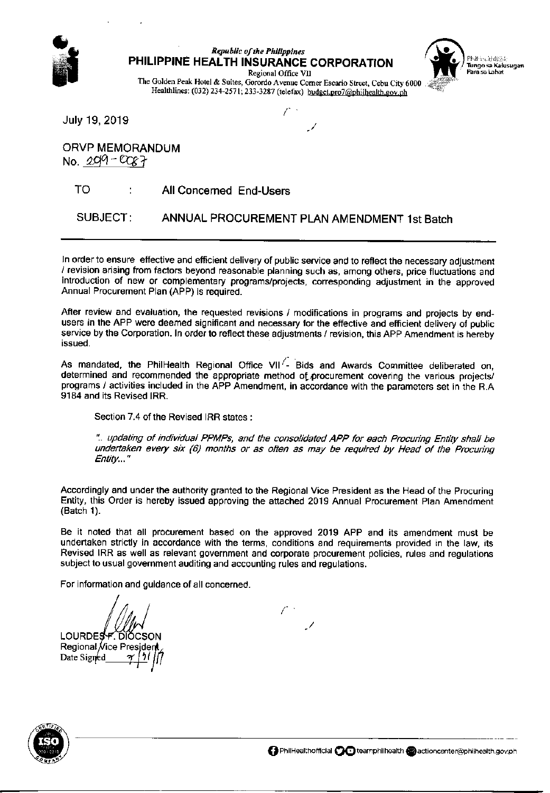

## **Republic of the Philippines** PHILIPPINE HEALTH INSURANCE CORPORATION



Regional Office VII The Golden Peak Hotel & Suites, Gorordo Avenue Corner Escario Street, Cebu City 6000 Healthlines: (032) 234-2571; 233-3287 (telefax) budget.pro7@philhealth.gov.ph

July 19, 2019

**ORVP MEMORANDUM** No.  $209 - 0087$ 

## TO All Concerned End-Users

SUBJECT: ANNUAL PROCUREMENT PLAN AMENDMENT 1st Batch

In order to ensure effective and efficient delivery of public service and to reflect the necessary adjustment / revision arising from factors beyond reasonable planning such as, among others, price fluctuations and introduction of new or complementary programs/projects, corresponding adjustment in the approved Annual Procurement Plan (APP) is required.

After review and evaluation, the requested revisions / modifications in programs and projects by endusers in the APP were deemed significant and necessary for the effective and efficient delivery of public service by the Corporation. In order to reflect these adjustments / revision, this APP Amendment is hereby issued.

As mandated, the PhilHealth Regional Office VII<sup>/</sup>- Bids and Awards Committee deliberated on. determined and recommended the appropriate method of procurement covering the various projects/ programs / activities included in the APP Amendment, in accordance with the parameters set in the R.A. 9184 and its Revised IRR.

Section 7.4 of the Revised IRR states:

".. updating of individual PPMPs, and the consolidated APP for each Procuring Entity shall be undertaken every six (6) months or as often as may be required by Head of the Procuring Entity..."

Accordingly and under the authority granted to the Regional Vice President as the Head of the Procuring Entity, this Order is hereby issued approving the attached 2019 Annual Procurement Plan Amendment (Batch 1).

Be it noted that all procurement based on the approved 2019 APP and its amendment must be undertaken strictly in accordance with the terms, conditions and requirements provided in the law, its Revised IRR as well as relevant government and corporate procurement policies, rules and regulations subject to usual government auditing and accounting rules and regulations.

For information and guidance of all concerned.

LOURDES P. DIOCSON Regional Vice Presjder Date Signed

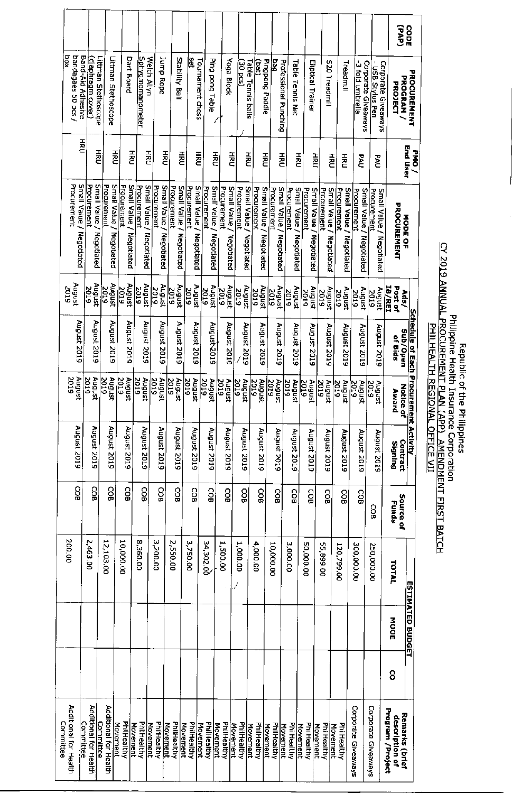|                                                  |                                               |                                             |                                                           |                                |                                                           |                                              |                                            |                                          |                                                   |                                             |                                     |                                          |                           |                                                 |                                            |                                          |                                            |                                                  |                                              | (dvd)                                                | cope                                         |
|--------------------------------------------------|-----------------------------------------------|---------------------------------------------|-----------------------------------------------------------|--------------------------------|-----------------------------------------------------------|----------------------------------------------|--------------------------------------------|------------------------------------------|---------------------------------------------------|---------------------------------------------|-------------------------------------|------------------------------------------|---------------------------|-------------------------------------------------|--------------------------------------------|------------------------------------------|--------------------------------------------|--------------------------------------------------|----------------------------------------------|------------------------------------------------------|----------------------------------------------|
| $\overline{\mathbf{x}}$ od<br>bandagaes 50 pcs / | Band-Aid Adhesive<br><u>(diaphragm cover)</u> | Littman Stethoscope<br>Littman Stethoscope  | <b>Dart Board</b>                                         | Sphygmomanometer               | Jurn Rope<br>Welch Allyn                                  | Stability Ball                               | å<br>Tournament chess                      | Ping pong Table                          | <b>Yoga Block</b>                                 | $\frac{30 \text{ } \text{pc}}{30 \text{ }}$ | <b>Table Tennis balls</b><br>(Jed.) | Pingpong Paddle<br>beq<br>B              | Professional Punching     | Table Tennis Net                                | <b>Eliptical Trainer</b>                   | S20 Treadmill                            | Treadmill                                  | -3 fold umbrella<br>Corporate Giveaways          | Corporate Giveaways<br><u>USB Stylus Pen</u> | PROGRAM /<br>PROJECT                                 | <b>PROCUREMENT</b>                           |
|                                                  | 풍                                             | 중                                           | 중혼                                                        | 줄                              | 증준                                                        | 중주<br>줄                                      | 줄                                          | 종                                        | 공전                                                |                                             | 돌                                   | 종                                        | 줄                         | 중증                                              | 종                                          | 중                                        | 풀                                          | <b>PAU</b>                                       | <b>PAU</b>                                   |                                                      | End User<br>PMO/                             |
| Small Valley<br>Procurement<br>Negotiated        | Procurement<br>Negotiated                     | Small Value<br>Procurement<br>Negotiated    | Small Value /<br>Procurement<br>Small Value<br>Negotiated | Procurement<br>Negotiated      | Small Value<br>Procurement<br>Small Value /<br>Negotiated | Procuremen<br>Small Value /<br>Negotiated    | Small Value /<br>Procurement<br>Negotiated | Procurement<br>Small Value<br>Negotiated | Small Value /<br><b>Procurement</b><br>Negotiated | Small Value<br>Procurement<br>Negotiated    | Procurement                         | Small Value<br>Procurement<br>Negotiated | Small Value<br>Negotiated | <b>Procurement</b><br>Small Value<br>Negotiated | Small Value /<br>Procurement<br>Negotiated | Small Value<br>Procurement<br>Negotiated | Small Value /<br>Procurement<br>Negotlated | Small Value /<br><b>Procuremen</b><br>Negotiated | Procurement<br>Small Value /<br>Negotiated   | PROCUREMENT                                          | <b>NODE OF</b>                               |
| August<br>2019                                   | งกดักษ<br>2019                                | August<br>2019                              | August<br>2019                                            | August<br><b>2019</b>          | hogust<br>$\frac{2019}{2}$                                | hugust<br>2019                               | มรกอิทษ<br>2019                            | August<br>2019                           | August<br>2019                                    | August<br>2019                              | houst<br>2019                       | 2019                                     | August                    | kugust<br>2019                                  | หนดแร่<br>2019                             | hrgust<br>2019                           | <b>August</b><br>2019                      | August<br>2019                                   | August<br><b>SIDZ</b>                        | <u> 18/REI</u><br>Post of<br>Ads/                    |                                              |
| August 2019                                      | August 2019                                   | August 2019                                 | August 2019                                               | August 2019                    | August 2019                                               | August 2019                                  | August 2019                                | August-2019                              | August 2019                                       | August 2019                                 | August 2019                         |                                          | August 2019               | August 2019                                     | August 2019                                | August 2019                              | August 2019                                | August 2019                                      | August 2019                                  | Sub/Open<br>of Bids                                  | <u>Schedule of Each Procurement Activity</u> |
| August<br>201<br>Φ                               | August<br>$\overline{5019}$                   | August<br>2019                              | August<br>$\frac{2019}{2}$                                | $rac{2019}{2019}$<br>August    | August<br>2019                                            | August<br>2019                               | August<br>2019                             | August<br>2019                           | 2019<br>August                                    | August<br>2019                              | August<br>2019                      | 201<br>5                                 | August                    | August<br><b>DO</b><br>5                        | <b>Zoi</b><br>August<br>Ģ                  | August<br>201<br>5                       | August<br>ļδ<br>5                          | August<br>Ιō<br>5                                | August<br>50<br>5                            | Z<br>Award<br>otice of                               |                                              |
| August 2019                                      | August 2019                                   | August 2019                                 | August 2019                                               | August 2019                    | August 2019                                               | August 2019                                  | August 2019                                | August 2019                              | August 2019                                       | August 2019                                 | August 2019                         |                                          | August 2019               | August 2019                                     | August 2019                                | August 2019                              | August 2019                                | August 2019                                      | August 2019                                  | Contract<br>Signing                                  |                                              |
| 8                                                | COB                                           | SSB                                         | COB                                                       | င္မွ                           | 86                                                        | ွင္ပ                                         | င္မွ                                       | <b>COB</b>                               | SOB                                               | SOB                                         | <u>ទ</u>                            |                                          | <b>GOB</b>                | င္မွ                                            | co<br>G                                    | COB                                      | CO <sub>B</sub>                            | ဥ္မ                                              | င္မွ                                         | Source of<br>Funds                                   |                                              |
| 200.00                                           | 2,463.00                                      | 12,103.00                                   | 10,000.00                                                 | 8,360.00                       | 3,200.00                                                  | 2,550.00                                     | 3,750.00                                   | 34,302.00                                | 1,500.00                                          | 1,000.00                                    | 4,000.00                            | 10,000.00                                |                           | 3,000.00                                        | 50,000.00                                  | 00'668'55                                | 120,799.00                                 | 300,000.00                                       | 250,000.00                                   | TOTAL                                                |                                              |
|                                                  |                                               |                                             |                                                           |                                |                                                           |                                              |                                            |                                          |                                                   |                                             |                                     |                                          |                           |                                                 |                                            |                                          |                                            |                                                  |                                              | MOOE                                                 | <b>ESTIMATED BUDGET</b>                      |
|                                                  |                                               |                                             |                                                           |                                |                                                           |                                              |                                            |                                          |                                                   |                                             |                                     |                                          |                           |                                                 |                                            |                                          |                                            |                                                  |                                              | 8                                                    |                                              |
| Additional for Hea<br>Committee<br>Ŧ             | Additional for Hea<br>Committee<br>引          | Additional for Hea<br><u>Committee</u><br>5 | PhilHealthy<br>Movement                                   | PhilHealthy<br><b>Movement</b> | PhiliHealthy<br>Movement                                  | PhilHealthy<br>Movement<br>M <u>overnent</u> | PhilHealthy<br>Movement                    | PhilHealthy<br><b>Movement</b>           | PhilHealthy<br><b>Movement</b>                    | PhilHealthy                                 | PhilHealthy<br>Movement             | PhilHealthy<br><u>Movement</u>           | <b>Movement</b>           | PhilHealthy                                     | PhilHealthy<br><b>Movement</b>             | PhilHealthy<br><b>Movement</b>           | PhilHealthy<br>Movement                    | Corporate Giveaw<br>ske                          | Corporate Giveaways                          | Program /Project<br>Remarks (briet<br>description of |                                              |

## Republic of the philippines<br>Dhilippine Health Insurance Corporation<br>D<u>HILHEALTH REGIONAL OFFICE VII</u><br>D<u>HILHEALTH REGIONAL OFFICE VII</u>